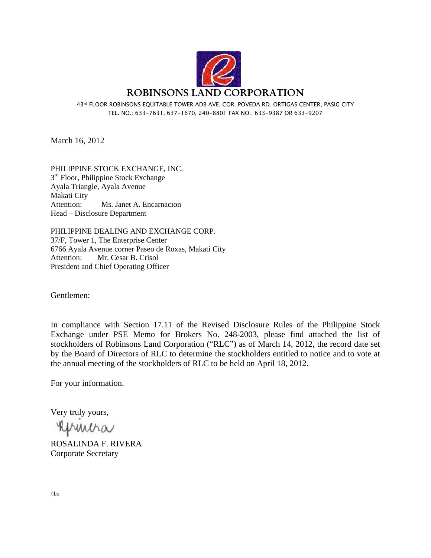

43rd FLOOR ROBINSONS EQUITABLE TOWER ADB AVE. COR. POVEDA RD. ORTIGAS CENTER, PASIG CITY TEL. NO.: 633-7631, 637-1670, 240-8801 FAX NO.: 633-9387 OR 633-9207

March 16, 2012

PHILIPPINE STOCK EXCHANGE, INC.  $3<sup>rd</sup>$  Floor, Philippine Stock Exchange Ayala Triangle, Ayala Avenue Makati City Attention: Ms. Janet A. Encarnacion Head – Disclosure Department

PHILIPPINE DEALING AND EXCHANGE CORP. 37/F, Tower 1, The Enterprise Center 6766 Ayala Avenue corner Paseo de Roxas, Makati City Attention: Mr. Cesar B. Crisol President and Chief Operating Officer

Gentlemen:

In compliance with Section 17.11 of the Revised Disclosure Rules of the Philippine Stock Exchange under PSE Memo for Brokers No. 248-2003, please find attached the list of stockholders of Robinsons Land Corporation ("RLC") as of March 14, 2012, the record date set by the Board of Directors of RLC to determine the stockholders entitled to notice and to vote at the annual meeting of the stockholders of RLC to be held on April 18, 2012.

For your information.

Very truly yours,

rmina

ROSALINDA F. RIVERA Corporate Secretary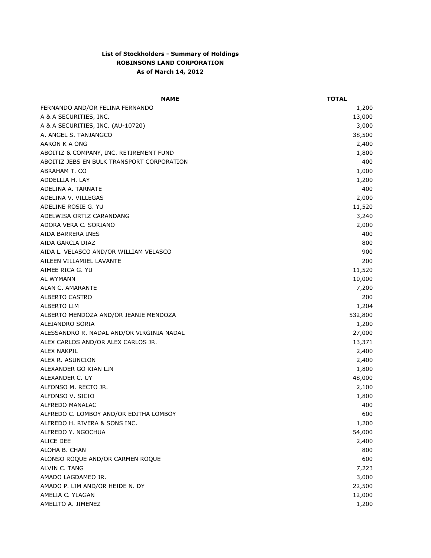## **List of Stockholders - Summary of Holdings ROBINSONS LAND CORPORATION As of March 14, 2012**

| <b>NAME</b>                                | <b>TOTAL</b> |
|--------------------------------------------|--------------|
| FERNANDO AND/OR FELINA FERNANDO            | 1,200        |
| A & A SECURITIES, INC.                     | 13,000       |
| A & A SECURITIES, INC. (AU-10720)          | 3,000        |
| A. ANGEL S. TANJANGCO                      | 38,500       |
| AARON K A ONG                              | 2,400        |
| ABOITIZ & COMPANY, INC. RETIREMENT FUND    | 1,800        |
| ABOITIZ JEBS EN BULK TRANSPORT CORPORATION | 400          |
| ABRAHAM T. CO                              | 1,000        |
| ADDELLIA H. LAY                            | 1,200        |
| ADELINA A. TARNATE                         | 400          |
| ADELINA V. VILLEGAS                        | 2,000        |
| ADELINE ROSIE G. YU                        | 11,520       |
| ADELWISA ORTIZ CARANDANG                   | 3,240        |
| ADORA VERA C. SORIANO                      | 2,000        |
| AIDA BARRERA INES                          | 400          |
| AIDA GARCIA DIAZ                           | 800          |
| AIDA L. VELASCO AND/OR WILLIAM VELASCO     | 900          |
| AILEEN VILLAMIEL LAVANTE                   | 200          |
| AIMEE RICA G. YU                           | 11,520       |
| AL WYMANN                                  | 10,000       |
| ALAN C. AMARANTE                           | 7,200        |
| <b>ALBERTO CASTRO</b>                      | 200          |
| ALBERTO LIM                                | 1,204        |
| ALBERTO MENDOZA AND/OR JEANIE MENDOZA      | 532,800      |
| ALEJANDRO SORIA                            | 1,200        |
| ALESSANDRO R. NADAL AND/OR VIRGINIA NADAL  | 27,000       |
| ALEX CARLOS AND/OR ALEX CARLOS JR.         | 13,371       |
| <b>ALEX NAKPIL</b>                         | 2,400        |
| ALEX R. ASUNCION                           | 2,400        |
| ALEXANDER GO KIAN LIN                      | 1,800        |
| ALEXANDER C. UY                            | 48,000       |
| ALFONSO M. RECTO JR.                       | 2,100        |
| ALFONSO V. SICIO                           | 1,800        |
| ALFREDO MANALAC                            | 400          |
| ALFREDO C. LOMBOY AND/OR EDITHA LOMBOY     | 600          |
| ALFREDO H. RIVERA & SONS INC.              | 1,200        |
| ALFREDO Y. NGOCHUA                         | 54,000       |
| ALICE DEE                                  |              |
|                                            | 2,400        |
| ALOHA B. CHAN                              | 800          |
| ALONSO ROQUE AND/OR CARMEN ROQUE           | 600          |
| ALVIN C. TANG                              | 7,223        |
| AMADO LAGDAMEO JR.                         | 3,000        |
| AMADO P. LIM AND/OR HEIDE N. DY            | 22,500       |
| AMELIA C. YLAGAN                           | 12,000       |
| AMELITO A. JIMENEZ                         | 1,200        |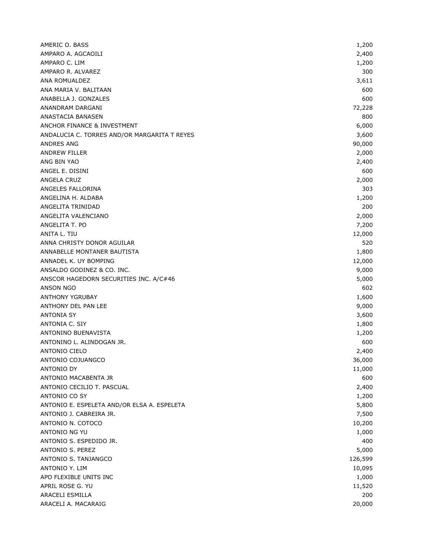| AMERIC O. BASS                               | 1,200   |
|----------------------------------------------|---------|
| AMPARO A. AGCAOILI                           | 2,400   |
| AMPARO C. LIM                                | 1,200   |
| AMPARO R. ALVAREZ                            | 300     |
| ANA ROMUALDEZ                                | 3,611   |
| ANA MARIA V. BALITAAN                        | 600     |
| ANABELLA J. GONZALES                         | 600     |
| ANANDRAM DARGANI                             | 72,228  |
| ANASTACIA BANASEN                            | 800     |
| ANCHOR FINANCE & INVESTMENT                  | 6,000   |
| ANDALUCIA C. TORRES AND/OR MARGARITA T REYES | 3,600   |
| ANDRES ANG                                   | 90,000  |
| <b>ANDREW FILLER</b>                         | 2,000   |
| ANG BIN YAO                                  | 2,400   |
| ANGEL E. DISINI                              | 600     |
| ANGELA CRUZ                                  | 2,000   |
| ANGELES FALLORINA                            | 303     |
| ANGELINA H. ALDABA                           | 1,200   |
| ANGELITA TRINIDAD                            | 200     |
| ANGELITA VALENCIANO                          | 2,000   |
| ANGELITA T. PO                               | 7,200   |
| ANITA L. TIU                                 | 12,000  |
| ANNA CHRISTY DONOR AGUILAR                   | 520     |
| ANNABELLE MONTANER BAUTISTA                  | 1,800   |
| ANNADEL K. UY BOMPING                        | 12,000  |
| ANSALDO GODINEZ & CO. INC.                   | 9,000   |
| ANSCOR HAGEDORN SECURITIES INC. A/C#46       | 5,000   |
| ANSON NGO                                    | 602     |
| <b>ANTHONY YGRUBAY</b>                       | 1,600   |
| ANTHONY DEL PAN LEE                          | 9,000   |
| <b>ANTONIA SY</b>                            | 3,600   |
| ANTONIA C. SIY                               | 1,800   |
| ANTONINO BUENAVISTA                          | 1,200   |
| ANTONINO L. ALINDOGAN JR.                    | 600     |
| <b>ANTONIO CIELO</b>                         | 2,400   |
| ANTONIO COJUANGCO                            | 36,000  |
| <b>ANTONIO DY</b>                            | 11,000  |
| ANTONIO MACABENTA JR                         | 600     |
| ANTONIO CECILIO T. PASCUAL                   | 2,400   |
| <b>ANTONIO CO SY</b>                         | 1,200   |
| ANTONIO E. ESPELETA AND/OR ELSA A. ESPELETA  | 5,800   |
| ANTONIO J. CABREIRA JR.                      | 7,500   |
| ANTONIO N. COTOCO                            | 10,200  |
| ANTONIO NG YU                                | 1,000   |
| ANTONIO S. ESPEDIDO JR.                      | 400     |
| ANTONIO S. PEREZ                             | 5,000   |
| ANTONIO S. TANJANGCO                         | 126,599 |
| ANTONIO Y. LIM                               | 10,095  |
| APO FLEXIBLE UNITS INC                       | 1,000   |
| APRIL ROSE G. YU                             | 11,520  |
| ARACELI ESMILLA                              | 200     |
| ARACELI A. MACARAIG                          | 20,000  |
|                                              |         |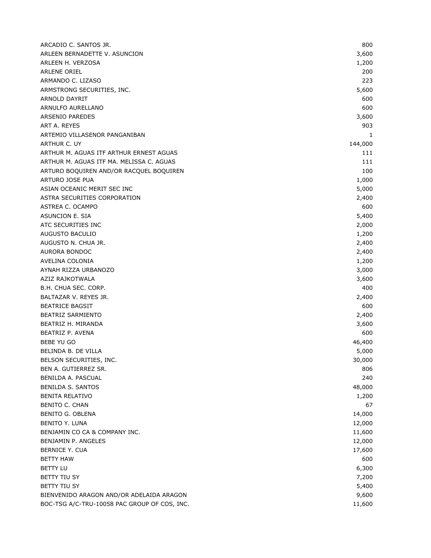| ARCADIO C. SANTOS JR.                        | 800     |
|----------------------------------------------|---------|
| ARLEEN BERNADETTE V. ASUNCION                | 3,600   |
| ARLEEN H. VERZOSA                            | 1,200   |
| <b>ARLENE ORIEL</b>                          | 200     |
| ARMANDO C. LIZASO                            | 223     |
| ARMSTRONG SECURITIES, INC.                   | 5,600   |
| ARNOLD DAYRIT                                | 600     |
| ARNULFO AURELLANO                            | 600     |
| <b>ARSENIO PAREDES</b>                       | 3,600   |
| ART A. REYES                                 | 903     |
| ARTEMIO VILLASENOR PANGANIBAN                | 1       |
| ARTHUR C. UY                                 | 144,000 |
| ARTHUR M. AGUAS ITF ARTHUR ERNEST AGUAS      | 111     |
| ARTHUR M. AGUAS ITF MA. MELISSA C. AGUAS     | 111     |
| ARTURO BOQUIREN AND/OR RACQUEL BOQUIREN      | 100     |
| ARTURO JOSE PUA                              | 1,000   |
| ASIAN OCEANIC MERIT SEC INC                  | 5,000   |
| ASTRA SECURITIES CORPORATION                 | 2,400   |
| ASTREA C. OCAMPO                             | 600     |
| <b>ASUNCION E. SIA</b>                       | 5,400   |
| ATC SECURITIES INC                           | 2,000   |
| <b>AUGUSTO BACULIO</b>                       | 1,200   |
| AUGUSTO N. CHUA JR.                          | 2,400   |
| <b>AURORA BONDOC</b>                         | 2,400   |
| AVELINA COLONIA                              | 1,200   |
| AYNAH RIZZA URBANOZO                         | 3,000   |
| AZIZ RAJKOTWALA                              | 3,600   |
| B.H. CHUA SEC. CORP.                         | 400     |
| BALTAZAR V. REYES JR.                        | 2,400   |
| <b>BEATRICE BAGSIT</b>                       | 600     |
| <b>BEATRIZ SARMIENTO</b>                     | 2,400   |
| BEATRIZ H. MIRANDA                           | 3,600   |
| BEATRIZ P. AVENA                             | 600     |
| BEBE YU GO                                   | 46,400  |
| BELINDA B. DE VILLA                          | 5,000   |
| BELSON SECURITIES, INC.                      | 30,000  |
| BEN A. GUTIERREZ SR.                         | 806     |
| BENILDA A. PASCUAL                           | 240     |
| BENILDA S. SANTOS                            | 48,000  |
| <b>BENITA RELATIVO</b>                       | 1,200   |
| <b>BENITO C. CHAN</b>                        | 67      |
| BENITO G. OBLENA                             | 14,000  |
| <b>BENITO Y. LUNA</b>                        | 12,000  |
| BENJAMIN CO CA & COMPANY INC.                | 11,600  |
| BENJAMIN P. ANGELES                          | 12,000  |
| <b>BERNICE Y. CUA</b>                        | 17,600  |
| <b>BETTY HAW</b>                             | 600     |
| <b>BETTY LU</b>                              | 6,300   |
| BETTY TIU SY                                 | 7,200   |
| BETTY TIU SY                                 | 5,400   |
| BIENVENIDO ARAGON AND/OR ADELAIDA ARAGON     | 9,600   |
| BOC-TSG A/C-TRU-10058 PAC GROUP OF COS, INC. | 11,600  |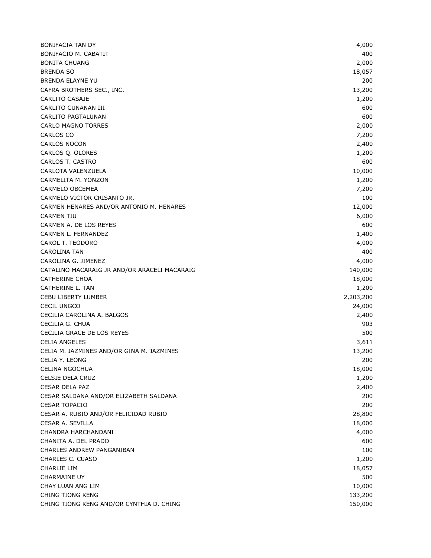| BONIFACIA TAN DY                             | 4,000     |
|----------------------------------------------|-----------|
| BONIFACIO M. CABATIT                         | 400       |
| <b>BONITA CHUANG</b>                         | 2,000     |
| <b>BRENDA SO</b>                             | 18,057    |
| BRENDA ELAYNE YU                             | 200       |
| CAFRA BROTHERS SEC., INC.                    | 13,200    |
| CARLITO CASAJE                               | 1,200     |
| CARLITO CUNANAN III                          | 600       |
| <b>CARLITO PAGTALUNAN</b>                    | 600       |
| CARLO MAGNO TORRES                           | 2,000     |
| CARLOS CO                                    | 7,200     |
| <b>CARLOS NOCON</b>                          | 2,400     |
| CARLOS Q. OLORES                             | 1,200     |
| CARLOS T. CASTRO                             | 600       |
| CARLOTA VALENZUELA                           | 10,000    |
| CARMELITA M. YONZON                          | 1,200     |
| CARMELO OBCEMEA                              | 7,200     |
| CARMELO VICTOR CRISANTO JR.                  | 100       |
| CARMEN HENARES AND/OR ANTONIO M. HENARES     | 12,000    |
| <b>CARMEN TIU</b>                            | 6,000     |
| CARMEN A. DE LOS REYES                       | 600       |
| CARMEN L. FERNANDEZ                          | 1,400     |
| CAROL T. TEODORO                             | 4,000     |
| CAROLINA TAN                                 | 400       |
| CAROLINA G. JIMENEZ                          | 4,000     |
| CATALINO MACARAIG JR AND/OR ARACELI MACARAIG | 140,000   |
| <b>CATHERINE CHOA</b>                        | 18,000    |
| CATHERINE L. TAN                             | 1,200     |
| <b>CEBU LIBERTY LUMBER</b>                   | 2,203,200 |
| <b>CECIL UNGCO</b>                           | 24,000    |
| CECILIA CAROLINA A. BALGOS                   | 2,400     |
| CECILIA G. CHUA                              | 903       |
| CECILIA GRACE DE LOS REYES                   | 500       |
| <b>CELIA ANGELES</b>                         | 3,611     |
| CELIA M. JAZMINES AND/OR GINA M. JAZMINES    | 13,200    |
| CELIA Y. LEONG                               | 200       |
| <b>CELINA NGOCHUA</b>                        | 18,000    |
| CELSIE DELA CRUZ                             | 1,200     |
| <b>CESAR DELA PAZ</b>                        | 2,400     |
| CESAR SALDANA AND/OR ELIZABETH SALDANA       | 200       |
| <b>CESAR TOPACIO</b>                         | 200       |
| CESAR A. RUBIO AND/OR FELICIDAD RUBIO        | 28,800    |
| CESAR A. SEVILLA                             | 18,000    |
| CHANDRA HARCHANDANI                          | 4,000     |
| CHANITA A. DEL PRADO                         | 600       |
| CHARLES ANDREW PANGANIBAN                    | 100       |
| CHARLES C. CUASO                             | 1,200     |
| CHARLIE LIM                                  | 18,057    |
| <b>CHARMAINE UY</b>                          | 500       |
| CHAY LUAN ANG LIM                            | 10,000    |
| <b>CHING TIONG KENG</b>                      | 133,200   |
| CHING TIONG KENG AND/OR CYNTHIA D. CHING     | 150,000   |
|                                              |           |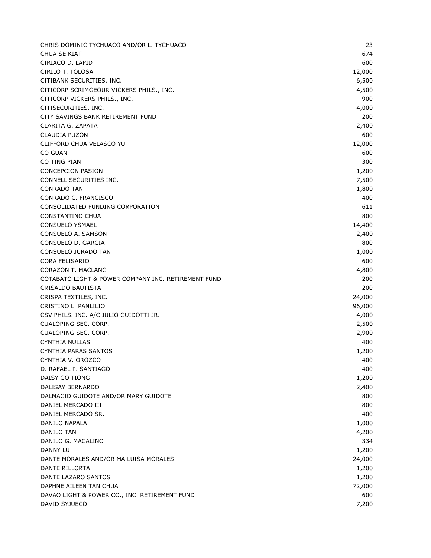| CHRIS DOMINIC TYCHUACO AND/OR L. TYCHUACO           | 23           |
|-----------------------------------------------------|--------------|
| <b>CHUA SE KIAT</b>                                 | 674          |
| CIRIACO D. LAPID                                    | 600          |
| CIRILO T. TOLOSA                                    | 12,000       |
| CITIBANK SECURITIES, INC.                           | 6,500        |
| CITICORP SCRIMGEOUR VICKERS PHILS., INC.            | 4,500        |
| CITICORP VICKERS PHILS., INC.                       | 900          |
| CITISECURITIES, INC.                                | 4,000        |
| CITY SAVINGS BANK RETIREMENT FUND                   | 200          |
| CLARITA G. ZAPATA                                   | 2,400        |
| <b>CLAUDIA PUZON</b>                                | 600          |
| CLIFFORD CHUA VELASCO YU                            | 12,000       |
| CO GUAN                                             | 600          |
| CO TING PIAN                                        | 300          |
| <b>CONCEPCION PASION</b>                            | 1,200        |
| CONNELL SECURITIES INC.                             | 7,500        |
| <b>CONRADO TAN</b>                                  | 1,800        |
| CONRADO C. FRANCISCO                                | 400          |
| CONSOLIDATED FUNDING CORPORATION                    | 611          |
| CONSTANTINO CHUA                                    | 800          |
| <b>CONSUELO YSMAEL</b>                              | 14,400       |
| CONSUELO A. SAMSON                                  | 2,400        |
| CONSUELO D. GARCIA                                  | 800          |
| CONSUELO JURADO TAN                                 | 1,000        |
| CORA FELISARIO                                      | 600          |
| CORAZON T. MACLANG                                  | 4,800        |
| COTABATO LIGHT & POWER COMPANY INC. RETIREMENT FUND | 200          |
| CRISALDO BAUTISTA                                   | 200          |
| CRISPA TEXTILES, INC.                               | 24,000       |
| CRISTINO L. PANLILIO                                | 96,000       |
| CSV PHILS. INC. A/C JULIO GUIDOTTI JR.              | 4,000        |
| CUALOPING SEC. CORP.                                | 2,500        |
| CUALOPING SEC. CORP.                                | 2,900        |
| <b>CYNTHIA NULLAS</b>                               | 400          |
| CYNTHIA PARAS SANTOS                                | 1,200        |
| CYNTHIA V. OROZCO                                   | 400          |
| D. RAFAEL P. SANTIAGO                               | 400          |
| DAISY GO TIONG                                      |              |
| DALISAY BERNARDO                                    | 1,200        |
|                                                     | 2,400<br>800 |
| DALMACIO GUIDOTE AND/OR MARY GUIDOTE                |              |
| DANIEL MERCADO III                                  | 800<br>400   |
| DANIEL MERCADO SR.                                  |              |
| DANILO NAPALA                                       | 1,000        |
| <b>DANILO TAN</b>                                   | 4,200        |
| DANILO G. MACALINO                                  | 334          |
| DANNY LU                                            | 1,200        |
| DANTE MORALES AND/OR MA LUISA MORALES               | 24,000       |
| DANTE RILLORTA                                      | 1,200        |
| DANTE LAZARO SANTOS                                 | 1,200        |
| DAPHNE AILEEN TAN CHUA                              | 72,000       |
| DAVAO LIGHT & POWER CO., INC. RETIREMENT FUND       | 600          |
| DAVID SYJUECO                                       | 7,200        |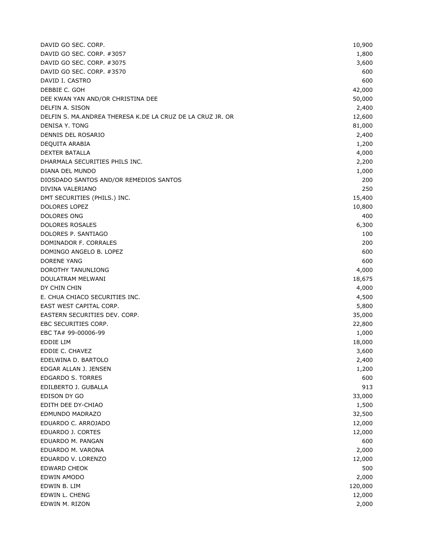| DAVID GO SEC. CORP.                                         | 10,900  |
|-------------------------------------------------------------|---------|
| DAVID GO SEC. CORP. #3057                                   | 1,800   |
| DAVID GO SEC. CORP. #3075                                   | 3,600   |
| DAVID GO SEC. CORP. #3570                                   | 600     |
| DAVID I. CASTRO                                             | 600     |
| DEBBIE C. GOH                                               | 42,000  |
| DEE KWAN YAN AND/OR CHRISTINA DEE                           | 50,000  |
| DELFIN A. SISON                                             | 2,400   |
| DELFIN S. MA. ANDREA THERESA K.DE LA CRUZ DE LA CRUZ JR. OR | 12,600  |
| DENISA Y. TONG                                              | 81,000  |
| DENNIS DEL ROSARIO                                          | 2,400   |
| DEQUITA ARABIA                                              | 1,200   |
| <b>DEXTER BATALLA</b>                                       | 4,000   |
| DHARMALA SECURITIES PHILS INC.                              | 2,200   |
| DIANA DEL MUNDO                                             | 1,000   |
| DIOSDADO SANTOS AND/OR REMEDIOS SANTOS                      | 200     |
| DIVINA VALERIANO                                            | 250     |
| DMT SECURITIES (PHILS.) INC.                                | 15,400  |
| <b>DOLORES LOPEZ</b>                                        | 10,800  |
| <b>DOLORES ONG</b>                                          | 400     |
| <b>DOLORES ROSALES</b>                                      | 6,300   |
| DOLORES P. SANTIAGO                                         | 100     |
| DOMINADOR F. CORRALES                                       | 200     |
| DOMINGO ANGELO B. LOPEZ                                     | 600     |
| <b>DORENE YANG</b>                                          | 600     |
| DOROTHY TANUNLIONG                                          | 4,000   |
| DOULATRAM MELWANI                                           | 18,675  |
| DY CHIN CHIN                                                | 4,000   |
| E. CHUA CHIACO SECURITIES INC.                              | 4,500   |
| EAST WEST CAPITAL CORP.                                     | 5,800   |
| EASTERN SECURITIES DEV. CORP.                               | 35,000  |
| EBC SECURITIES CORP.                                        | 22,800  |
| EBC TA# 99-00006-99                                         | 1,000   |
| EDDIE LIM                                                   | 18,000  |
| EDDIE C. CHAVEZ                                             | 3,600   |
| EDELWINA D. BARTOLO                                         | 2,400   |
| EDGAR ALLAN J. JENSEN                                       | 1,200   |
| <b>EDGARDO S. TORRES</b>                                    | 600     |
| EDILBERTO J. GUBALLA                                        | 913     |
| EDISON DY GO                                                | 33,000  |
| EDITH DEE DY-CHIAO                                          | 1,500   |
| EDMUNDO MADRAZO                                             | 32,500  |
| EDUARDO C. ARROJADO                                         | 12,000  |
| EDUARDO J. CORTES                                           | 12,000  |
| EDUARDO M. PANGAN                                           | 600     |
| EDUARDO M. VARONA                                           | 2,000   |
| EDUARDO V. LORENZO                                          | 12,000  |
| EDWARD CHEOK                                                | 500     |
| <b>EDWIN AMODO</b>                                          | 2,000   |
| EDWIN B. LIM                                                | 120,000 |
| EDWIN L. CHENG                                              | 12,000  |
| EDWIN M. RIZON                                              | 2,000   |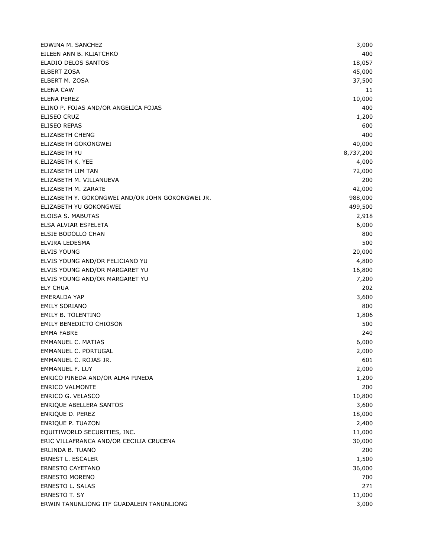| EDWINA M. SANCHEZ                                | 3,000      |
|--------------------------------------------------|------------|
| EILEEN ANN B. KLIATCHKO                          | 400        |
| ELADIO DELOS SANTOS                              | 18,057     |
| <b>ELBERT ZOSA</b>                               | 45,000     |
| ELBERT M. ZOSA                                   | 37,500     |
| <b>ELENA CAW</b>                                 | 11         |
| ELENA PEREZ                                      | 10,000     |
| ELINO P. FOJAS AND/OR ANGELICA FOJAS             | 400        |
| <b>ELISEO CRUZ</b>                               | 1,200      |
| <b>ELISEO REPAS</b>                              | 600        |
| <b>ELIZABETH CHENG</b>                           | 400        |
| ELIZABETH GOKONGWEI                              | 40,000     |
| ELIZABETH YU                                     | 8,737,200  |
| ELIZABETH K. YEE                                 | 4,000      |
| ELIZABETH LIM TAN                                | 72,000     |
| ELIZABETH M. VILLANUEVA                          | 200        |
| ELIZABETH M. ZARATE                              | 42,000     |
| ELIZABETH Y. GOKONGWEI AND/OR JOHN GOKONGWEI JR. | 988,000    |
| ELIZABETH YU GOKONGWEI                           | 499,500    |
| ELOISA S. MABUTAS                                | 2,918      |
| ELSA ALVIAR ESPELETA                             | 6,000      |
| ELSIE BODOLLO CHAN                               | 800        |
| ELVIRA LEDESMA                                   | 500        |
| <b>ELVIS YOUNG</b>                               | 20,000     |
| ELVIS YOUNG AND/OR FELICIANO YU                  | 4,800      |
| ELVIS YOUNG AND/OR MARGARET YU                   | 16,800     |
| ELVIS YOUNG AND/OR MARGARET YU                   | 7,200      |
| <b>ELY CHUA</b>                                  | 202        |
| <b>EMERALDA YAP</b>                              | 3,600      |
| <b>EMILY SORIANO</b>                             | 800        |
| <b>EMILY B. TOLENTINO</b>                        | 1,806      |
| <b>EMILY BENEDICTO CHIOSON</b>                   | 500        |
| <b>EMMA FABRE</b>                                | 240        |
| <b>EMMANUEL C. MATIAS</b>                        | 6,000      |
| <b>EMMANUEL C. PORTUGAL</b>                      | 2,000      |
| EMMANUEL C. ROJAS JR.                            | 601        |
| <b>EMMANUEL F. LUY</b>                           | 2,000      |
| ENRICO PINEDA AND/OR ALMA PINEDA                 | 1,200      |
| <b>ENRICO VALMONTE</b>                           | 200        |
| ENRICO G. VELASCO                                | 10,800     |
| ENRIQUE ABELLERA SANTOS                          | 3,600      |
| ENRIQUE D. PEREZ                                 | 18,000     |
| ENRIQUE P. TUAZON                                | 2,400      |
| EQUITIWORLD SECURITIES, INC.                     | 11,000     |
| ERIC VILLAFRANCA AND/OR CECILIA CRUCENA          | 30,000     |
|                                                  |            |
| ERLINDA B. TUANO<br>ERNEST L. ESCALER            | 200        |
| ERNESTO CAYETANO                                 | 1,500      |
|                                                  | 36,000     |
| <b>ERNESTO MORENO</b>                            | 700<br>271 |
| ERNESTO L. SALAS                                 |            |
| ERNESTO T. SY                                    | 11,000     |
| ERWIN TANUNLIONG ITF GUADALEIN TANUNLIONG        | 3,000      |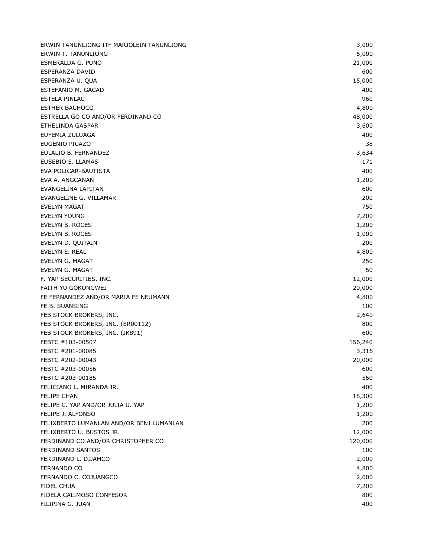| ERWIN TANUNLIONG ITF MARJOLEIN TANUNLIONG | 3,000   |
|-------------------------------------------|---------|
| <b>ERWIN T. TANUNLIONG</b>                | 5,000   |
| ESMERALDA G. PUNO                         | 21,000  |
| ESPERANZA DAVID                           | 600     |
| ESPERANZA U. QUA                          | 15,000  |
| ESTEFANIO M. GACAD                        | 400     |
| <b>ESTELA PINLAC</b>                      | 960     |
| <b>ESTHER BACHOCO</b>                     | 4,800   |
| ESTRELLA GO CO AND/OR FERDINAND CO        | 48,000  |
| ETHELINDA GASPAR                          | 3,600   |
| EUFEMIA ZULUAGA                           | 400     |
| EUGENIO PICAZO                            | 38      |
| EULALIO B. FERNANDEZ                      | 3,634   |
| EUSEBIO E. LLAMAS                         | 171     |
| EVA POLICAR-BAUTISTA                      | 400     |
| EVA A. ANGCANAN                           | 1,200   |
| EVANGELINA LAPITAN                        | 600     |
| EVANGELINE G. VILLAMAR                    | 200     |
| <b>EVELYN MAGAT</b>                       | 750     |
| <b>EVELYN YOUNG</b>                       | 7,200   |
| EVELYN B. ROCES                           | 1,200   |
| EVELYN B. ROCES                           | 1,000   |
| EVELYN D. QUITAIN                         | 200     |
| EVELYN E. REAL                            | 4,800   |
| EVELYN G. MAGAT                           | 250     |
| EVELYN G. MAGAT                           | 50      |
| F. YAP SECURITIES, INC.                   | 12,000  |
| FAITH YU GOKONGWEI                        | 20,000  |
| FE FERNANDEZ AND/OR MARIA FE NEUMANN      | 4,800   |
| FE B. SUANSING                            | 100     |
| FEB STOCK BROKERS, INC.                   | 2,640   |
| FEB STOCK BROKERS, INC. (ER00112)         | 800     |
| FEB STOCK BROKERS, INC. (JK891)           | 600     |
| FEBTC #103-00507                          | 156,240 |
| FEBTC #201-00085                          | 3,316   |
| FEBTC #202-00043                          | 20,000  |
| FEBTC #203-00056                          | 600     |
| FEBTC #203-00185                          | 550     |
| FELICIANO L. MIRANDA JR.                  | 400     |
| <b>FELIPE CHAN</b>                        | 18,300  |
| FELIPE C. YAP AND/OR JULIA U. YAP         | 1,200   |
| FELIPE J. ALFONSO                         | 1,200   |
| FELIXBERTO LUMANLAN AND/OR BENJ LUMANLAN  | 200     |
| FELIXBERTO U. BUSTOS JR.                  | 12,000  |
| FERDINAND CO AND/OR CHRISTOPHER CO        | 120,000 |
| FERDINAND SANTOS                          | 100     |
| FERDINAND L. DIJAMCO                      | 2,000   |
| FERNANDO CO                               | 4,800   |
| FERNANDO C. COJUANGCO                     | 2,000   |
| FIDEL CHUA                                | 7,200   |
| FIDELA CALIMOSO CONFESOR                  | 800     |
| FILIPINA G. JUAN                          | 400     |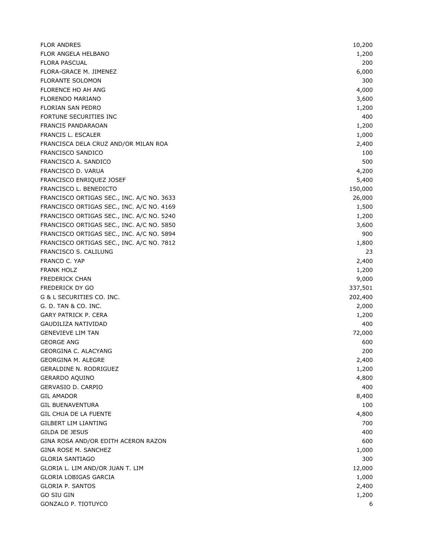| <b>FLOR ANDRES</b>                        | 10,200  |
|-------------------------------------------|---------|
| <b>FLOR ANGELA HELBANO</b>                | 1,200   |
| <b>FLORA PASCUAL</b>                      | 200     |
| FLORA-GRACE M. JIMENEZ                    | 6,000   |
| <b>FLORANTE SOLOMON</b>                   | 300     |
| FLORENCE HO AH ANG                        | 4,000   |
| FLORENDO MARIANO                          | 3,600   |
| FLORIAN SAN PEDRO                         | 1,200   |
| FORTUNE SECURITIES INC                    | 400     |
| FRANCIS PANDARAOAN                        | 1,200   |
| FRANCIS L. ESCALER                        | 1,000   |
| FRANCISCA DELA CRUZ AND/OR MILAN ROA      | 2,400   |
| FRANCISCO SANDICO                         | 100     |
| FRANCISCO A. SANDICO                      | 500     |
| FRANCISCO D. VARUA                        | 4,200   |
| FRANCISCO ENRIQUEZ JOSEF                  | 5,400   |
| FRANCISCO L. BENEDICTO                    | 150,000 |
| FRANCISCO ORTIGAS SEC., INC. A/C NO. 3633 | 26,000  |
| FRANCISCO ORTIGAS SEC., INC. A/C NO. 4169 | 1,500   |
| FRANCISCO ORTIGAS SEC., INC. A/C NO. 5240 | 1,200   |
| FRANCISCO ORTIGAS SEC., INC. A/C NO. 5850 | 3,600   |
| FRANCISCO ORTIGAS SEC., INC. A/C NO. 5894 | 900     |
| FRANCISCO ORTIGAS SEC., INC. A/C NO. 7812 | 1,800   |
| FRANCISCO S. CALILUNG                     | 23      |
| FRANCO C. YAP                             | 2,400   |
| <b>FRANK HOLZ</b>                         | 1,200   |
| <b>FREDERICK CHAN</b>                     | 9,000   |
| FREDERICK DY GO                           | 337,501 |
| G & L SECURITIES CO. INC.                 | 202,400 |
| G. D. TAN & CO. INC.                      | 2,000   |
| GARY PATRICK P. CERA                      | 1,200   |
| GAUDILIZA NATIVIDAD                       | 400     |
| <b>GENEVIEVE LIM TAN</b>                  | 72,000  |
| <b>GEORGE ANG</b>                         | 600     |
| <b>GEORGINA C. ALACYANG</b>               | 200     |
| GEORGINA M. ALEGRE                        | 2,400   |
| <b>GERALDINE N. RODRIGUEZ</b>             | 1,200   |
| GERARDO AQUINO                            | 4,800   |
| GERVASIO D. CARPIO                        | 400     |
| <b>GIL AMADOR</b>                         | 8,400   |
| <b>GIL BUENAVENTURA</b>                   | 100     |
| GIL CHUA DE LA FUENTE                     | 4,800   |
| <b>GILBERT LIM LIANTING</b>               | 700     |
| <b>GILDA DE JESUS</b>                     | 400     |
| GINA ROSA AND/OR EDITH ACERON RAZON       | 600     |
| GINA ROSE M. SANCHEZ                      | 1,000   |
| <b>GLORIA SANTIAGO</b>                    | 300     |
| GLORIA L. LIM AND/OR JUAN T. LIM          | 12,000  |
| <b>GLORIA LOBIGAS GARCIA</b>              | 1,000   |
| <b>GLORIA P. SANTOS</b>                   | 2,400   |
| <b>GO SIU GIN</b>                         | 1,200   |
| GONZALO P. TIOTUYCO                       | 6       |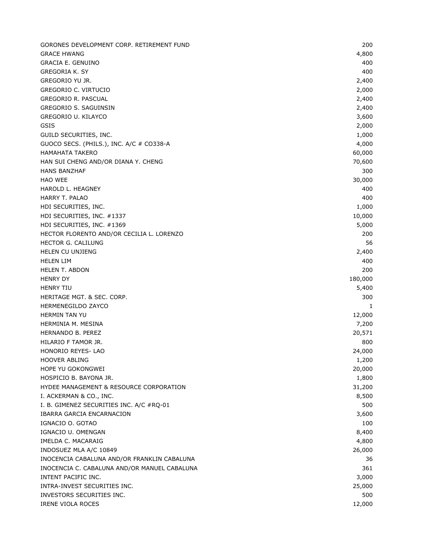| GORONES DEVELOPMENT CORP. RETIREMENT FUND    | 200     |
|----------------------------------------------|---------|
| <b>GRACE HWANG</b>                           | 4,800   |
| <b>GRACIA E. GENUINO</b>                     | 400     |
| <b>GREGORIA K. SY</b>                        | 400     |
| GREGORIO YU JR.                              | 2,400   |
| <b>GREGORIO C. VIRTUCIO</b>                  | 2,000   |
| <b>GREGORIO R. PASCUAL</b>                   | 2,400   |
| GREGORIO S. SAGUINSIN                        | 2,400   |
| <b>GREGORIO U. KILAYCO</b>                   | 3,600   |
| GSIS                                         | 2,000   |
| GUILD SECURITIES, INC.                       | 1,000   |
| GUOCO SECS. (PHILS.), INC. A/C # CO338-A     | 4,000   |
| <b>HAMAHATA TAKERO</b>                       | 60,000  |
| HAN SUI CHENG AND/OR DIANA Y. CHENG          | 70,600  |
| <b>HANS BANZHAF</b>                          | 300     |
| HAO WEE                                      | 30,000  |
| HAROLD L. HEAGNEY                            | 400     |
| HARRY T. PALAO                               | 400     |
| HDI SECURITIES, INC.                         | 1,000   |
| HDI SECURITIES, INC. #1337                   | 10,000  |
| HDI SECURITIES, INC. #1369                   | 5,000   |
| HECTOR FLORENTO AND/OR CECILIA L. LORENZO    | 200     |
| <b>HECTOR G. CALILUNG</b>                    | 56      |
| <b>HELEN CU UNJIENG</b>                      | 2,400   |
| <b>HELEN LIM</b>                             | 400     |
| <b>HELEN T. ABDON</b>                        | 200     |
| <b>HENRY DY</b>                              | 180,000 |
| <b>HENRY TIU</b>                             | 5,400   |
| HERITAGE MGT. & SEC. CORP.                   | 300     |
| HERMENEGILDO ZAYCO                           | 1       |
| <b>HERMIN TAN YU</b>                         | 12,000  |
| HERMINIA M. MESINA                           | 7,200   |
| HERNANDO B. PEREZ                            | 20,571  |
| HILARIO F TAMOR JR.                          | 800     |
| <b>HONORIO REYES- LAO</b>                    | 24,000  |
| <b>HOOVER ABLING</b>                         | 1,200   |
| HOPE YU GOKONGWEI                            | 20,000  |
| HOSPICIO B. BAYONA JR.                       | 1,800   |
| HYDEE MANAGEMENT & RESOURCE CORPORATION      | 31,200  |
| I. ACKERMAN & CO., INC.                      | 8,500   |
| I. B. GIMENEZ SECURITIES INC. A/C #RQ-01     | 500     |
| IBARRA GARCIA ENCARNACION                    | 3,600   |
| IGNACIO O. GOTAO                             | 100     |
| IGNACIO U. OMENGAN                           | 8,400   |
| IMELDA C. MACARAIG                           | 4,800   |
| INDOSUEZ MLA A/C 10849                       | 26,000  |
| INOCENCIA CABALUNA AND/OR FRANKLIN CABALUNA  | 36      |
| INOCENCIA C. CABALUNA AND/OR MANUEL CABALUNA | 361     |
| INTENT PACIFIC INC.                          | 3,000   |
| INTRA-INVEST SECURITIES INC.                 | 25,000  |
| INVESTORS SECURITIES INC.                    | 500     |
| IRENE VIOLA ROCES                            | 12,000  |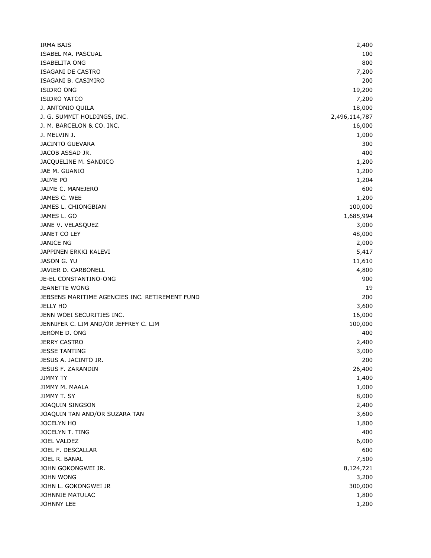| <b>IRMA BAIS</b>                               | 2,400         |
|------------------------------------------------|---------------|
| ISABEL MA. PASCUAL                             | 100           |
| <b>ISABELITA ONG</b>                           | 800           |
| ISAGANI DE CASTRO                              | 7,200         |
| ISAGANI B. CASIMIRO                            | 200           |
| <b>ISIDRO ONG</b>                              | 19,200        |
| <b>ISIDRO YATCO</b>                            | 7,200         |
| J. ANTONIO QUILA                               | 18,000        |
| J. G. SUMMIT HOLDINGS, INC.                    | 2,496,114,787 |
| J. M. BARCELON & CO. INC.                      | 16,000        |
| J. MELVIN J.                                   | 1,000         |
| <b>JACINTO GUEVARA</b>                         | 300           |
| JACOB ASSAD JR.                                | 400           |
| JACQUELINE M. SANDICO                          | 1,200         |
| JAE M. GUANIO                                  | 1,200         |
| JAIME PO                                       | 1,204         |
| JAIME C. MANEJERO                              | 600           |
| JAMES C. WEE                                   | 1,200         |
| JAMES L. CHIONGBIAN                            | 100,000       |
| JAMES L. GO                                    | 1,685,994     |
| JANE V. VELASQUEZ                              | 3,000         |
| JANET CO LEY                                   | 48,000        |
| <b>JANICE NG</b>                               | 2,000         |
| JAPPINEN ERKKI KALEVI                          | 5,417         |
| JASON G. YU                                    | 11,610        |
| JAVIER D. CARBONELL                            | 4,800         |
| JE-EL CONSTANTINO-ONG                          | 900           |
| <b>JEANETTE WONG</b>                           | 19            |
| JEBSENS MARITIME AGENCIES INC. RETIREMENT FUND | 200           |
| <b>JELLY HO</b>                                | 3,600         |
| JENN WOEI SECURITIES INC.                      | 16,000        |
| JENNIFER C. LIM AND/OR JEFFREY C. LIM          | 100,000       |
| JEROME D. ONG                                  | 400           |
| <b>JERRY CASTRO</b>                            | 2,400         |
| <b>JESSE TANTING</b>                           | 3,000         |
| JESUS A. JACINTO JR.                           | 200           |
| JESUS F. ZARANDIN                              | 26,400        |
| <b>JIMMY TY</b>                                | 1,400         |
| JIMMY M. MAALA                                 | 1,000         |
| JIMMY T. SY                                    | 8,000         |
| JOAQUIN SINGSON                                | 2,400         |
| JOAQUIN TAN AND/OR SUZARA TAN                  | 3,600         |
| JOCELYN HO                                     | 1,800         |
| JOCELYN T. TING                                | 400           |
| <b>JOEL VALDEZ</b>                             | 6,000         |
| JOEL F. DESCALLAR                              | 600           |
| JOEL R. BANAL                                  | 7,500         |
| JOHN GOKONGWEI JR.                             | 8,124,721     |
| <b>JOHN WONG</b>                               | 3,200         |
| JOHN L. GOKONGWEI JR                           | 300,000       |
| JOHNNIE MATULAC                                | 1,800         |
| JOHNNY LEE                                     | 1,200         |
|                                                |               |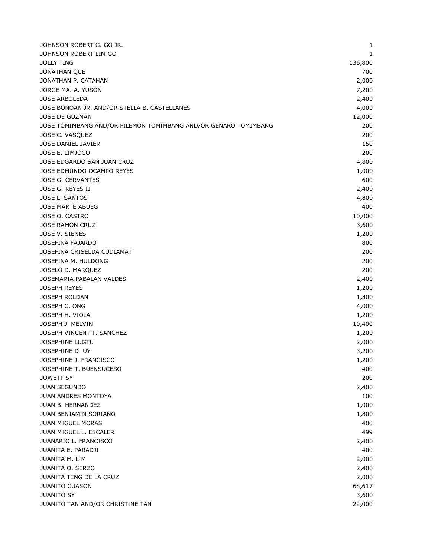| JOHNSON ROBERT G. GO JR.                                        | 1       |
|-----------------------------------------------------------------|---------|
| JOHNSON ROBERT LIM GO                                           | 1       |
| <b>JOLLY TING</b>                                               | 136,800 |
| JONATHAN QUE                                                    | 700     |
| JONATHAN P. CATAHAN                                             | 2,000   |
| JORGE MA. A. YUSON                                              | 7,200   |
| <b>JOSE ARBOLEDA</b>                                            | 2,400   |
| JOSE BONOAN JR. AND/OR STELLA B. CASTELLANES                    | 4,000   |
| JOSE DE GUZMAN                                                  | 12,000  |
| JOSE TOMIMBANG AND/OR FILEMON TOMIMBANG AND/OR GENARO TOMIMBANG | 200     |
| JOSE C. VASQUEZ                                                 | 200     |
| <b>JOSE DANIEL JAVIER</b>                                       | 150     |
| JOSE E. LIMJOCO                                                 | 200     |
| JOSE EDGARDO SAN JUAN CRUZ                                      | 4,800   |
| JOSE EDMUNDO OCAMPO REYES                                       | 1,000   |
| JOSE G. CERVANTES                                               | 600     |
| JOSE G. REYES II                                                | 2,400   |
| JOSE L. SANTOS                                                  | 4,800   |
| <b>JOSE MARTE ABUEG</b>                                         | 400     |
| JOSE O. CASTRO                                                  | 10,000  |
| <b>JOSE RAMON CRUZ</b>                                          | 3,600   |
| JOSE V. SIENES                                                  | 1,200   |
| JOSEFINA FAJARDO                                                | 800     |
| JOSEFINA CRISELDA CUDIAMAT                                      | 200     |
| JOSEFINA M. HULDONG                                             | 200     |
| JOSELO D. MARQUEZ                                               | 200     |
| JOSEMARIA PABALAN VALDES                                        | 2,400   |
| <b>JOSEPH REYES</b>                                             | 1,200   |
| <b>JOSEPH ROLDAN</b>                                            | 1,800   |
| JOSEPH C. ONG                                                   | 4,000   |
| JOSEPH H. VIOLA                                                 | 1,200   |
| JOSEPH J. MELVIN                                                | 10,400  |
| JOSEPH VINCENT T. SANCHEZ                                       | 1,200   |
| <b>JOSEPHINE LUGTU</b>                                          | 2,000   |
| JOSEPHINE D. UY                                                 | 3,200   |
| JOSEPHINE J. FRANCISCO                                          | 1,200   |
| JOSEPHINE T. BUENSUCESO                                         | 400     |
| <b>JOWETT SY</b>                                                | 200     |
| <b>JUAN SEGUNDO</b>                                             | 2,400   |
| JUAN ANDRES MONTOYA                                             | 100     |
| JUAN B. HERNANDEZ                                               | 1,000   |
| JUAN BENJAMIN SORIANO                                           | 1,800   |
| <b>JUAN MIGUEL MORAS</b>                                        | 400     |
| JUAN MIGUEL L. ESCALER                                          | 499     |
| JUANARIO L. FRANCISCO                                           | 2,400   |
| JUANITA E. PARADJI                                              | 400     |
| JUANITA M. LIM                                                  | 2,000   |
| JUANITA O. SERZO                                                | 2,400   |
| JUANITA TENG DE LA CRUZ                                         | 2,000   |
| <b>JUANITO CUASON</b>                                           | 68,617  |
| <b>JUANITO SY</b>                                               | 3,600   |
| JUANITO TAN AND/OR CHRISTINE TAN                                | 22,000  |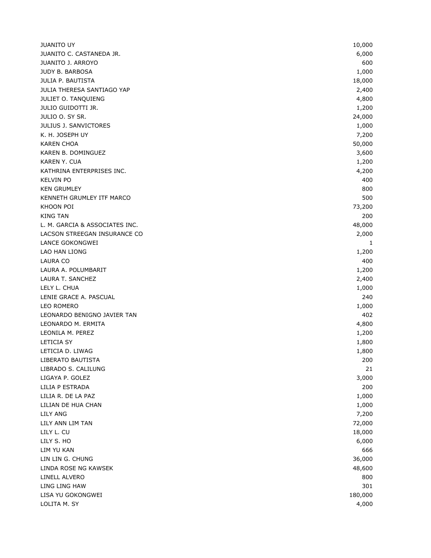| <b>JUANITO UY</b>              | 10,000  |
|--------------------------------|---------|
| JUANITO C. CASTANEDA JR.       | 6,000   |
| <b>JUANITO J. ARROYO</b>       | 600     |
| <b>JUDY B. BARBOSA</b>         | 1,000   |
| <b>JULIA P. BAUTISTA</b>       | 18,000  |
| JULIA THERESA SANTIAGO YAP     | 2,400   |
| JULIET O. TANQUIENG            | 4,800   |
| JULIO GUIDOTTI JR.             | 1,200   |
| JULIO O. SY SR.                | 24,000  |
| JULIUS J. SANVICTORES          | 1,000   |
| K. H. JOSEPH UY                | 7,200   |
| <b>KAREN CHOA</b>              | 50,000  |
| KAREN B. DOMINGUEZ             | 3,600   |
| <b>KAREN Y. CUA</b>            | 1,200   |
| KATHRINA ENTERPRISES INC.      | 4,200   |
| <b>KELVIN PO</b>               | 400     |
| <b>KEN GRUMLEY</b>             | 800     |
| KENNETH GRUMLEY ITF MARCO      | 500     |
| KHOON POI                      | 73,200  |
| <b>KING TAN</b>                | 200     |
| L. M. GARCIA & ASSOCIATES INC. | 48,000  |
| LACSON STREEGAN INSURANCE CO   | 2,000   |
| LANCE GOKONGWEI                | 1       |
| LAO HAN LIONG                  | 1,200   |
| <b>LAURA CO</b>                | 400     |
| LAURA A. POLUMBARIT            | 1,200   |
| LAURA T. SANCHEZ               | 2,400   |
| LELY L. CHUA                   | 1,000   |
| LENIE GRACE A. PASCUAL         | 240     |
| LEO ROMERO                     | 1,000   |
| LEONARDO BENIGNO JAVIER TAN    | 402     |
| LEONARDO M. ERMITA             | 4,800   |
| LEONILA M. PEREZ               | 1,200   |
| <b>LETICIA SY</b>              | 1,800   |
| LETICIA D. LIWAG               | 1,800   |
| LIBERATO BAUTISTA              | 200     |
| LIBRADO S. CALILUNG            | 21      |
| LIGAYA P. GOLEZ                | 3,000   |
| LILIA P ESTRADA                | 200     |
| LILIA R. DE LA PAZ             | 1,000   |
| LILIAN DE HUA CHAN             | 1,000   |
| <b>LILY ANG</b>                | 7,200   |
| LILY ANN LIM TAN               | 72,000  |
| LILY L. CU                     | 18,000  |
| LILY S. HO                     | 6,000   |
| LIM YU KAN                     | 666     |
| LIN LIN G. CHUNG               | 36,000  |
| LINDA ROSE NG KAWSEK           | 48,600  |
| LINELL ALVERO                  | 800     |
| LING LING HAW                  | 301     |
| LISA YU GOKONGWEI              | 180,000 |
| LOLITA M. SY                   | 4,000   |
|                                |         |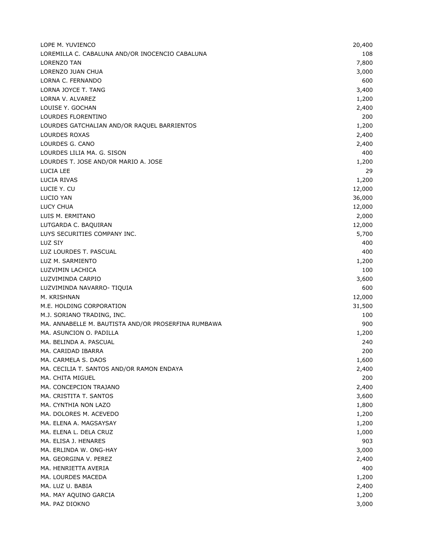| LOPE M. YUVIENCO                                    | 20,400 |
|-----------------------------------------------------|--------|
| LOREMILLA C. CABALUNA AND/OR INOCENCIO CABALUNA     | 108    |
| <b>LORENZO TAN</b>                                  | 7,800  |
| LORENZO JUAN CHUA                                   | 3,000  |
| LORNA C. FERNANDO                                   | 600    |
| LORNA JOYCE T. TANG                                 | 3,400  |
| LORNA V. ALVAREZ                                    | 1,200  |
| LOUISE Y. GOCHAN                                    | 2,400  |
| LOURDES FLORENTINO                                  | 200    |
| LOURDES GATCHALIAN AND/OR RAQUEL BARRIENTOS         | 1,200  |
| LOURDES ROXAS                                       | 2,400  |
| LOURDES G. CANO                                     | 2,400  |
| LOURDES LILIA MA. G. SISON                          | 400    |
| LOURDES T. JOSE AND/OR MARIO A. JOSE                | 1,200  |
| LUCIA LEE                                           | 29     |
| LUCIA RIVAS                                         | 1,200  |
| LUCIE Y. CU                                         | 12,000 |
| <b>LUCIO YAN</b>                                    | 36,000 |
| LUCY CHUA                                           | 12,000 |
| LUIS M. ERMITANO                                    | 2,000  |
| LUTGARDA C. BAQUIRAN                                | 12,000 |
| LUYS SECURITIES COMPANY INC.                        | 5,700  |
| LUZ SIY                                             | 400    |
| LUZ LOURDES T. PASCUAL                              | 400    |
| LUZ M. SARMIENTO                                    | 1,200  |
| LUZVIMIN LACHICA                                    | 100    |
| LUZVIMINDA CARPIO                                   | 3,600  |
| LUZVIMINDA NAVARRO- TIQUIA                          | 600    |
| M. KRISHNAN                                         | 12,000 |
| M.E. HOLDING CORPORATION                            | 31,500 |
| M.J. SORIANO TRADING, INC.                          | 100    |
| MA. ANNABELLE M. BAUTISTA AND/OR PROSERFINA RUMBAWA | 900    |
| MA, ASUNCION O. PADILLA                             | 1,200  |
| MA. BELINDA A. PASCUAL                              | 240    |
| MA. CARIDAD IBARRA                                  | 200    |
| MA. CARMELA S. DAOS                                 | 1,600  |
| MA. CECILIA T. SANTOS AND/OR RAMON ENDAYA           | 2,400  |
| MA. CHITA MIGUEL                                    | 200    |
| MA. CONCEPCION TRAJANO                              | 2,400  |
| MA. CRISTITA T. SANTOS                              | 3,600  |
| MA. CYNTHIA NON LAZO                                | 1,800  |
| MA. DOLORES M. ACEVEDO                              | 1,200  |
| MA. ELENA A. MAGSAYSAY                              | 1,200  |
| MA. ELENA L. DELA CRUZ                              | 1,000  |
| MA. ELISA J. HENARES                                | 903    |
| MA. ERLINDA W. ONG-HAY                              | 3,000  |
| MA. GEORGINA V. PEREZ                               | 2,400  |
| MA. HENRIETTA AVERIA                                | 400    |
| MA. LOURDES MACEDA                                  | 1,200  |
| MA. LUZ U. BABIA                                    | 2,400  |
| MA. MAY AQUINO GARCIA                               | 1,200  |
| MA. PAZ DIOKNO                                      | 3,000  |
|                                                     |        |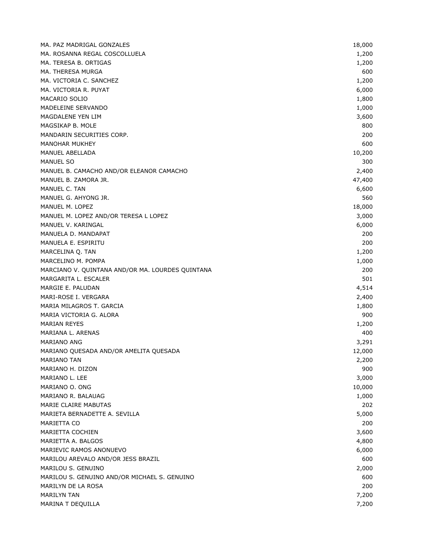| MA. PAZ MADRIGAL GONZALES                        | 18,000 |
|--------------------------------------------------|--------|
| MA. ROSANNA REGAL COSCOLLUELA                    | 1,200  |
| MA. TERESA B. ORTIGAS                            | 1,200  |
| MA. THERESA MURGA                                | 600    |
| MA. VICTORIA C. SANCHEZ                          | 1,200  |
| MA. VICTORIA R. PUYAT                            | 6,000  |
| MACARIO SOLIO                                    | 1,800  |
| MADELEINE SERVANDO                               | 1,000  |
| MAGDALENE YEN LIM                                | 3,600  |
| MAGSIKAP B. MOLE                                 | 800    |
| MANDARIN SECURITIES CORP.                        | 200    |
| <b>MANOHAR MUKHEY</b>                            | 600    |
| MANUEL ABELLADA                                  | 10,200 |
| <b>MANUEL SO</b>                                 | 300    |
| MANUEL B. CAMACHO AND/OR ELEANOR CAMACHO         | 2,400  |
| MANUEL B. ZAMORA JR.                             | 47,400 |
| MANUEL C. TAN                                    | 6,600  |
| MANUEL G. AHYONG JR.                             | 560    |
| MANUEL M. LOPEZ                                  | 18,000 |
| MANUEL M. LOPEZ AND/OR TERESA L LOPEZ            | 3,000  |
| MANUEL V. KARINGAL                               | 6,000  |
| MANUELA D. MANDAPAT                              | 200    |
| MANUELA E. ESPIRITU                              | 200    |
| MARCELINA Q. TAN                                 | 1,200  |
| MARCELINO M. POMPA                               | 1,000  |
| MARCIANO V. QUINTANA AND/OR MA. LOURDES QUINTANA | 200    |
| MARGARITA L. ESCALER                             | 501    |
| MARGIE E. PALUDAN                                | 4,514  |
| MARI-ROSE I. VERGARA                             | 2,400  |
| MARIA MILAGROS T. GARCIA                         | 1,800  |
| MARIA VICTORIA G. ALORA                          | 900    |
| <b>MARIAN REYES</b>                              | 1,200  |
| MARIANA L. ARENAS                                | 400    |
| MARIANO ANG                                      | 3,291  |
| MARIANO QUESADA AND/OR AMELITA QUESADA           | 12,000 |
| <b>MARIANO TAN</b>                               | 2,200  |
| MARIANO H. DIZON                                 | 900    |
| MARIANO L. LEE                                   | 3,000  |
| MARIANO O. ONG                                   | 10,000 |
| MARIANO R. BALAUAG                               | 1,000  |
| MARIE CLAIRE MABUTAS                             | 202    |
| MARIETA BERNADETTE A. SEVILLA                    | 5,000  |
| MARIETTA CO                                      | 200    |
| MARIETTA COCHIEN                                 | 3,600  |
| MARIETTA A. BALGOS                               | 4,800  |
| MARIEVIC RAMOS ANONUEVO                          | 6,000  |
| MARILOU AREVALO AND/OR JESS BRAZIL               | 600    |
| MARILOU S. GENUINO                               | 2,000  |
| MARILOU S. GENUINO AND/OR MICHAEL S. GENUINO     | 600    |
| MARILYN DE LA ROSA                               | 200    |
| <b>MARILYN TAN</b>                               | 7,200  |
| MARINA T DEQUILLA                                | 7,200  |
|                                                  |        |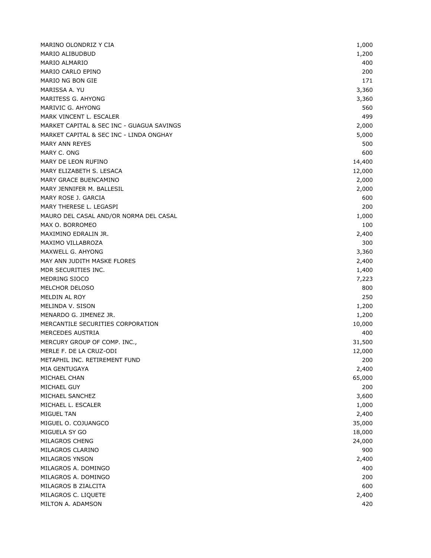| MARINO OLONDRIZ Y CIA                     | 1,000  |
|-------------------------------------------|--------|
| MARIO ALIBUDBUD                           | 1,200  |
| <b>MARIO ALMARIO</b>                      | 400    |
| MARIO CARLO EPINO                         | 200    |
| MARIO NG BON GIE                          | 171    |
| MARISSA A. YU                             | 3,360  |
| MARITESS G. AHYONG                        | 3,360  |
| MARIVIC G. AHYONG                         | 560    |
| MARK VINCENT L. ESCALER                   | 499    |
| MARKET CAPITAL & SEC INC - GUAGUA SAVINGS | 2,000  |
| MARKET CAPITAL & SEC INC - LINDA ONGHAY   | 5,000  |
| <b>MARY ANN REYES</b>                     | 500    |
| MARY C. ONG                               | 600    |
| MARY DE LEON RUFINO                       | 14,400 |
| MARY ELIZABETH S. LESACA                  | 12,000 |
| MARY GRACE BUENCAMINO                     | 2,000  |
| MARY JENNIFER M. BALLESIL                 | 2,000  |
| MARY ROSE J. GARCIA                       | 600    |
| MARY THERESE L. LEGASPI                   | 200    |
| MAURO DEL CASAL AND/OR NORMA DEL CASAL    | 1,000  |
| MAX O. BORROMEO                           | 100    |
| MAXIMINO EDRALIN JR.                      | 2,400  |
| MAXIMO VILLABROZA                         | 300    |
| MAXWELL G. AHYONG                         | 3,360  |
| MAY ANN JUDITH MASKE FLORES               | 2,400  |
| MDR SECURITIES INC.                       | 1,400  |
| MEDRING SIOCO                             | 7,223  |
| MELCHOR DELOSO                            | 800    |
| MELDIN AL ROY                             | 250    |
| MELINDA V. SISON                          | 1,200  |
| MENARDO G. JIMENEZ JR.                    | 1,200  |
| MERCANTILE SECURITIES CORPORATION         | 10,000 |
| MERCEDES AUSTRIA                          | 400    |
| MERCURY GROUP OF COMP. INC.,              | 31,500 |
| MERLE F. DE LA CRUZ-ODI                   | 12,000 |
| METAPHIL INC. RETIREMENT FUND             | 200    |
| MIA GENTUGAYA                             | 2,400  |
| MICHAEL CHAN                              | 65,000 |
| MICHAEL GUY                               | 200    |
| MICHAEL SANCHEZ                           | 3,600  |
| MICHAEL L. ESCALER                        | 1,000  |
| MIGUEL TAN                                | 2,400  |
| MIGUEL O. COJUANGCO                       | 35,000 |
| MIGUELA SY GO                             | 18,000 |
| MILAGROS CHENG                            | 24,000 |
| MILAGROS CLARINO                          | 900    |
| MILAGROS YNSON                            | 2,400  |
| MILAGROS A. DOMINGO                       | 400    |
| MILAGROS A. DOMINGO                       | 200    |
| MILAGROS B ZIALCITA                       | 600    |
| MILAGROS C. LIQUETE                       | 2,400  |
| MILTON A. ADAMSON                         | 420    |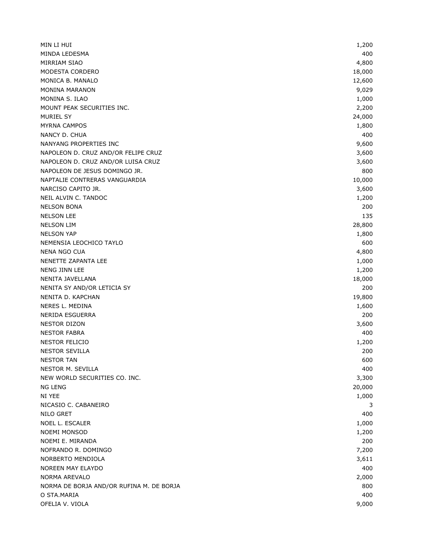| MIN LI HUI                               | 1,200  |
|------------------------------------------|--------|
| MINDA LEDESMA                            | 400    |
| MIRRIAM SIAO                             | 4,800  |
| MODESTA CORDERO                          | 18,000 |
| MONICA B. MANALO                         | 12,600 |
| <b>MONINA MARANON</b>                    | 9,029  |
| MONINA S. ILAO                           | 1,000  |
| MOUNT PEAK SECURITIES INC.               | 2,200  |
| MURIEL SY                                | 24,000 |
| <b>MYRNA CAMPOS</b>                      | 1,800  |
| NANCY D. CHUA                            | 400    |
| NANYANG PROPERTIES INC                   | 9,600  |
| NAPOLEON D. CRUZ AND/OR FELIPE CRUZ      | 3,600  |
| NAPOLEON D. CRUZ AND/OR LUISA CRUZ       | 3,600  |
| NAPOLEON DE JESUS DOMINGO JR.            | 800    |
| NAPTALIE CONTRERAS VANGUARDIA            | 10,000 |
| NARCISO CAPITO JR.                       | 3,600  |
| NEIL ALVIN C. TANDOC                     | 1,200  |
| <b>NELSON BONA</b>                       | 200    |
| <b>NELSON LEE</b>                        | 135    |
| <b>NELSON LIM</b>                        | 28,800 |
| <b>NELSON YAP</b>                        | 1,800  |
| NEMENSIA LEOCHICO TAYLO                  | 600    |
| NENA NGO CUA                             | 4,800  |
| NENETTE ZAPANTA LEE                      | 1,000  |
| NENG JINN LEE                            | 1,200  |
| NENITA JAVELLANA                         | 18,000 |
| NENITA SY AND/OR LETICIA SY              | 200    |
| NENITA D. KAPCHAN                        | 19,800 |
| NERES L. MEDINA                          | 1,600  |
| <b>NERIDA ESGUERRA</b>                   | 200    |
| <b>NESTOR DIZON</b>                      | 3,600  |
| <b>NESTOR FABRA</b>                      | 400    |
| <b>NESTOR FELICIO</b>                    | 1,200  |
| <b>NESTOR SEVILLA</b>                    | 200    |
| <b>NESTOR TAN</b>                        | 600    |
| NESTOR M. SEVILLA                        | 400    |
| NEW WORLD SECURITIES CO. INC.            | 3,300  |
| NG LENG                                  | 20,000 |
| NI YEE                                   | 1,000  |
| NICASIO C. CABANEIRO                     | 3      |
| NILO GRET                                | 400    |
| NOEL L. ESCALER                          | 1,000  |
| <b>NOEMI MONSOD</b>                      | 1,200  |
| NOEMI E. MIRANDA                         | 200    |
| NOFRANDO R. DOMINGO                      | 7,200  |
| NORBERTO MENDIOLA                        | 3,611  |
| NOREEN MAY ELAYDO                        | 400    |
| NORMA AREVALO                            | 2,000  |
| NORMA DE BORJA AND/OR RUFINA M. DE BORJA | 800    |
| O STA.MARIA                              | 400    |
| OFELIA V. VIOLA                          | 9,000  |
|                                          |        |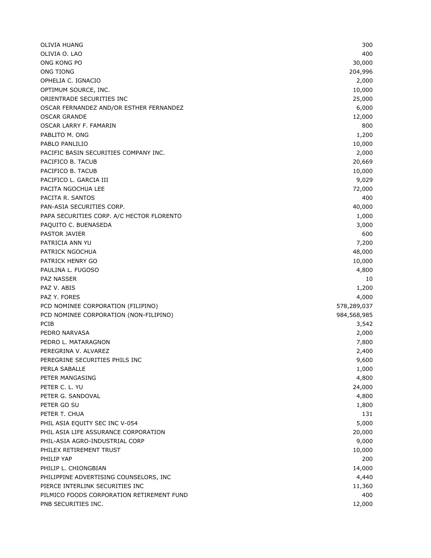| OLIVIA HUANG                              | 300         |
|-------------------------------------------|-------------|
| OLIVIA O. LAO                             | 400         |
| ONG KONG PO                               | 30,000      |
| <b>ONG TIONG</b>                          | 204,996     |
| OPHELIA C. IGNACIO                        | 2,000       |
| OPTIMUM SOURCE, INC.                      | 10,000      |
| ORIENTRADE SECURITIES INC                 | 25,000      |
| OSCAR FERNANDEZ AND/OR ESTHER FERNANDEZ   | 6,000       |
| <b>OSCAR GRANDE</b>                       | 12,000      |
| OSCAR LARRY F. FAMARIN                    | 800         |
| PABLITO M. ONG                            | 1,200       |
| PABLO PANLILIO                            | 10,000      |
| PACIFIC BASIN SECURITIES COMPANY INC.     | 2,000       |
| PACIFICO B. TACUB                         | 20,669      |
| PACIFICO B. TACUB                         | 10,000      |
| PACIFICO L. GARCIA III                    | 9,029       |
| PACITA NGOCHUA LEE                        | 72,000      |
| PACITA R. SANTOS                          | 400         |
| PAN-ASIA SECURITIES CORP.                 | 40,000      |
| PAPA SECURITIES CORP. A/C HECTOR FLORENTO | 1,000       |
| PAQUITO C. BUENASEDA                      | 3,000       |
| PASTOR JAVIER                             | 600         |
| PATRICIA ANN YU                           | 7,200       |
| PATRICK NGOCHUA                           | 48,000      |
| PATRICK HENRY GO                          | 10,000      |
| PAULINA L. FUGOSO                         | 4,800       |
| <b>PAZ NASSER</b>                         | 10          |
| PAZ V. ABIS                               | 1,200       |
| PAZ Y. FORES                              | 4,000       |
| PCD NOMINEE CORPORATION (FILIPINO)        | 578,289,037 |
| PCD NOMINEE CORPORATION (NON-FILIPINO)    | 984,568,985 |
| <b>PCIB</b>                               | 3,542       |
| PEDRO NARVASA                             | 2,000       |
| PEDRO L. MATARAGNON                       | 7,800       |
| PEREGRINA V. ALVAREZ                      | 2,400       |
| PEREGRINE SECURITIES PHILS INC            | 9,600       |
| PERLA SABALLE                             | 1,000       |
| PETER MANGASING                           | 4,800       |
| PETER C. L. YU                            | 24,000      |
| PETER G. SANDOVAL                         | 4,800       |
| PETER GO SU                               | 1,800       |
| PETER T. CHUA                             | 131         |
| PHIL ASIA EQUITY SEC INC V-054            | 5,000       |
| PHIL ASIA LIFE ASSURANCE CORPORATION      | 20,000      |
| PHIL-ASIA AGRO-INDUSTRIAL CORP            | 9,000       |
|                                           |             |
| PHILEX RETIREMENT TRUST                   | 10,000      |
| PHILIP YAP                                | 200         |
| PHILIP L. CHIONGBIAN                      | 14,000      |
| PHILIPPINE ADVERTISING COUNSELORS, INC    | 4,440       |
| PIERCE INTERLINK SECURITIES INC           | 11,360      |
| PILMICO FOODS CORPORATION RETIREMENT FUND | 400         |
| PNB SECURITIES INC.                       | 12,000      |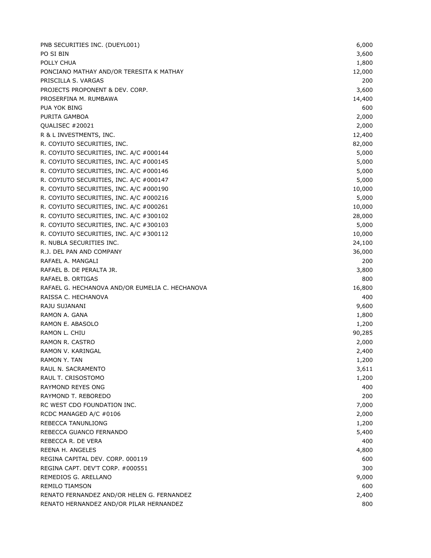| PNB SECURITIES INC. (DUEYL001)                  | 6,000  |
|-------------------------------------------------|--------|
| PO SI BIN                                       | 3,600  |
| POLLY CHUA                                      | 1,800  |
| PONCIANO MATHAY AND/OR TERESITA K MATHAY        | 12,000 |
| PRISCILLA S. VARGAS                             | 200    |
| PROJECTS PROPONENT & DEV. CORP.                 | 3,600  |
| PROSERFINA M. RUMBAWA                           | 14,400 |
| PUA YOK BING                                    | 600    |
| PURITA GAMBOA                                   | 2,000  |
| QUALISEC #20021                                 | 2,000  |
| R & L INVESTMENTS, INC.                         | 12,400 |
| R. COYIUTO SECURITIES, INC.                     | 82,000 |
| R. COYIUTO SECURITIES, INC. A/C #000144         | 5,000  |
| R. COYIUTO SECURITIES, INC. A/C #000145         | 5,000  |
| R. COYIUTO SECURITIES, INC. A/C #000146         | 5,000  |
| R. COYIUTO SECURITIES, INC. A/C #000147         | 5,000  |
| R. COYIUTO SECURITIES, INC. A/C #000190         | 10,000 |
| R. COYIUTO SECURITIES, INC. A/C #000216         | 5,000  |
| R. COYIUTO SECURITIES, INC. A/C #000261         | 10,000 |
| R. COYIUTO SECURITIES, INC. A/C #300102         | 28,000 |
| R. COYIUTO SECURITIES, INC. A/C #300103         | 5,000  |
| R. COYIUTO SECURITIES, INC. A/C #300112         | 10,000 |
| R. NUBLA SECURITIES INC.                        | 24,100 |
| R.J. DEL PAN AND COMPANY                        | 36,000 |
| RAFAEL A. MANGALI                               | 200    |
| RAFAEL B. DE PERALTA JR.                        | 3,800  |
| RAFAEL B. ORTIGAS                               | 800    |
| RAFAEL G. HECHANOVA AND/OR EUMELIA C. HECHANOVA | 16,800 |
| RAISSA C. HECHANOVA                             | 400    |
| RAJU SUJANANI                                   | 9,600  |
| RAMON A. GANA                                   | 1,800  |
| RAMON E. ABASOLO                                | 1,200  |
| RAMON L. CHIU                                   | 90,285 |
| RAMON R. CASTRO                                 | 2,000  |
| RAMON V. KARINGAL                               | 2,400  |
| RAMON Y. TAN                                    | 1,200  |
| RAUL N. SACRAMENTO                              | 3,611  |
| RAUL T. CRISOSTOMO                              | 1,200  |
| RAYMOND REYES ONG                               | 400    |
| RAYMOND T. REBOREDO                             | 200    |
| RC WEST CDO FOUNDATION INC.                     | 7,000  |
| RCDC MANAGED A/C #0106                          | 2,000  |
| REBECCA TANUNLIONG                              | 1,200  |
| REBECCA GUANCO FERNANDO                         | 5,400  |
| REBECCA R. DE VERA                              | 400    |
| REENA H. ANGELES                                | 4,800  |
| REGINA CAPITAL DEV. CORP. 000119                | 600    |
| REGINA CAPT. DEV'T CORP. #000551                | 300    |
| REMEDIOS G. ARELLANO                            | 9,000  |
| REMILO TIAMSON                                  | 600    |
| RENATO FERNANDEZ AND/OR HELEN G. FERNANDEZ      | 2,400  |
| RENATO HERNANDEZ AND/OR PILAR HERNANDEZ         | 800    |
|                                                 |        |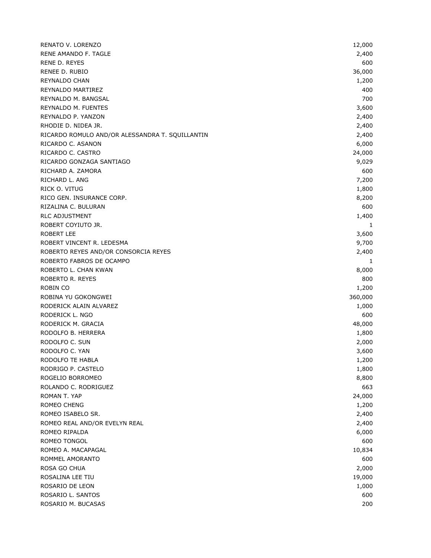| RENATO V. LORENZO                               | 12,000  |
|-------------------------------------------------|---------|
| RENE AMANDO F. TAGLE                            | 2,400   |
| <b>RENE D. REYES</b>                            | 600     |
| RENEE D. RUBIO                                  | 36,000  |
| REYNALDO CHAN                                   | 1,200   |
| REYNALDO MARTIREZ                               | 400     |
| REYNALDO M. BANGSAL                             | 700     |
| REYNALDO M. FUENTES                             | 3,600   |
| REYNALDO P. YANZON                              | 2,400   |
| RHODIE D. NIDEA JR.                             | 2,400   |
| RICARDO ROMULO AND/OR ALESSANDRA T. SQUILLANTIN | 2,400   |
| RICARDO C. ASANON                               | 6,000   |
| RICARDO C. CASTRO                               | 24,000  |
| RICARDO GONZAGA SANTIAGO                        | 9,029   |
| RICHARD A. ZAMORA                               | 600     |
| RICHARD L. ANG                                  | 7,200   |
| RICK O. VITUG                                   | 1,800   |
| RICO GEN. INSURANCE CORP.                       | 8,200   |
| RIZALINA C. BULURAN                             | 600     |
| <b>RLC ADJUSTMENT</b>                           | 1,400   |
| ROBERT COYIUTO JR.                              | 1       |
| <b>ROBERT LEE</b>                               | 3,600   |
| ROBERT VINCENT R. LEDESMA                       | 9,700   |
| ROBERTO REYES AND/OR CONSORCIA REYES            | 2,400   |
| ROBERTO FABROS DE OCAMPO                        | 1       |
| ROBERTO L. CHAN KWAN                            | 8,000   |
| ROBERTO R. REYES                                | 800     |
| ROBIN CO                                        | 1,200   |
| ROBINA YU GOKONGWEI                             | 360,000 |
| RODERICK ALAIN ALVAREZ                          | 1,000   |
| RODERICK L. NGO                                 | 600     |
| RODERICK M. GRACIA                              | 48,000  |
| RODOLFO B. HERRERA                              | 1,800   |
| RODOLFO C. SUN                                  | 2,000   |
| RODOLFO C. YAN                                  | 3,600   |
| RODOLFO TE HABLA                                | 1,200   |
| RODRIGO P. CASTELO                              | 1,800   |
| ROGELIO BORROMEO                                | 8,800   |
| ROLANDO C. RODRIGUEZ                            | 663     |
| ROMAN T. YAP                                    | 24,000  |
| ROMEO CHENG                                     | 1,200   |
| ROMEO ISABELO SR.                               | 2,400   |
| ROMEO REAL AND/OR EVELYN REAL                   | 2,400   |
| ROMEO RIPALDA                                   | 6,000   |
| <b>ROMEO TONGOL</b>                             | 600     |
| ROMEO A. MACAPAGAL                              | 10,834  |
| ROMMEL AMORANTO                                 | 600     |
| ROSA GO CHUA                                    | 2,000   |
| ROSALINA LEE TIU                                | 19,000  |
| ROSARIO DE LEON                                 | 1,000   |
| ROSARIO L. SANTOS                               | 600     |
| ROSARIO M. BUCASAS                              | 200     |
|                                                 |         |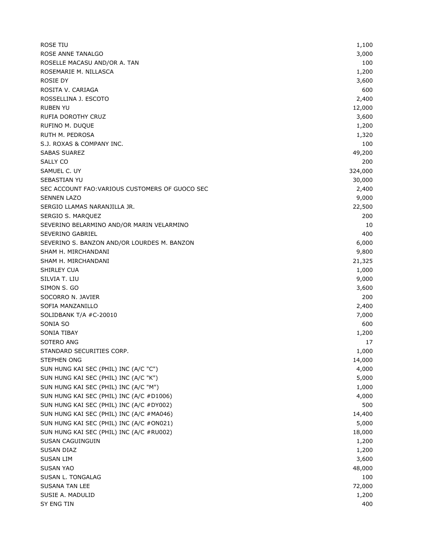| ROSE TIU                                        | 1,100   |
|-------------------------------------------------|---------|
| ROSE ANNE TANALGO                               | 3,000   |
| ROSELLE MACASU AND/OR A. TAN                    | 100     |
| ROSEMARIE M. NILLASCA                           | 1,200   |
| <b>ROSIE DY</b>                                 | 3,600   |
| ROSITA V. CARIAGA                               | 600     |
| ROSSELLINA J. ESCOTO                            | 2,400   |
| <b>RUBEN YU</b>                                 | 12,000  |
| RUFIA DOROTHY CRUZ                              | 3,600   |
| RUFINO M. DUQUE                                 | 1,200   |
| RUTH M. PEDROSA                                 | 1,320   |
| S.J. ROXAS & COMPANY INC.                       | 100     |
| <b>SABAS SUAREZ</b>                             | 49,200  |
| SALLY CO                                        | 200     |
| SAMUEL C. UY                                    | 324,000 |
| SEBASTIAN YU                                    | 30,000  |
| SEC ACCOUNT FAO: VARIOUS CUSTOMERS OF GUOCO SEC | 2,400   |
| <b>SENNEN LAZO</b>                              | 9,000   |
| SERGIO LLAMAS NARANJILLA JR.                    | 22,500  |
| SERGIO S. MARQUEZ                               | 200     |
| SEVERINO BELARMINO AND/OR MARIN VELARMINO       | 10      |
| SEVERINO GABRIEL                                | 400     |
| SEVERINO S. BANZON AND/OR LOURDES M. BANZON     | 6,000   |
| SHAM H. MIRCHANDANI                             | 9,800   |
| SHAM H. MIRCHANDANI                             | 21,325  |
| SHIRLEY CUA                                     | 1,000   |
| SILVIA T. LIU                                   | 9,000   |
| SIMON S. GO                                     | 3,600   |
| SOCORRO N. JAVIER                               | 200     |
| SOFIA MANZANILLO                                | 2,400   |
| SOLIDBANK T/A #C-20010                          | 7,000   |
| SONIA SO                                        | 600     |
| SONIA TIBAY                                     | 1,200   |
| SOTERO ANG                                      | 17      |
| STANDARD SECURITIES CORP.                       | 1,000   |
| <b>STEPHEN ONG</b>                              | 14,000  |
| SUN HUNG KAI SEC (PHIL) INC (A/C "C")           | 4,000   |
| SUN HUNG KAI SEC (PHIL) INC (A/C "K")           | 5,000   |
| SUN HUNG KAI SEC (PHIL) INC (A/C "M")           | 1,000   |
| SUN HUNG KAI SEC (PHIL) INC (A/C #D1006)        | 4,000   |
| SUN HUNG KAI SEC (PHIL) INC (A/C #DY002)        | 500     |
| SUN HUNG KAI SEC (PHIL) INC (A/C #MA046)        | 14,400  |
| SUN HUNG KAI SEC (PHIL) INC (A/C #ON021)        | 5,000   |
| SUN HUNG KAI SEC (PHIL) INC (A/C #RU002)        | 18,000  |
| SUSAN CAGUINGUIN                                | 1,200   |
| SUSAN DIAZ                                      | 1,200   |
| <b>SUSAN LIM</b>                                | 3,600   |
| <b>SUSAN YAO</b>                                | 48,000  |
| SUSAN L. TONGALAG                               | 100     |
| <b>SUSANA TAN LEE</b>                           | 72,000  |
| SUSIE A. MADULID                                | 1,200   |
| SY ENG TIN                                      | 400     |
|                                                 |         |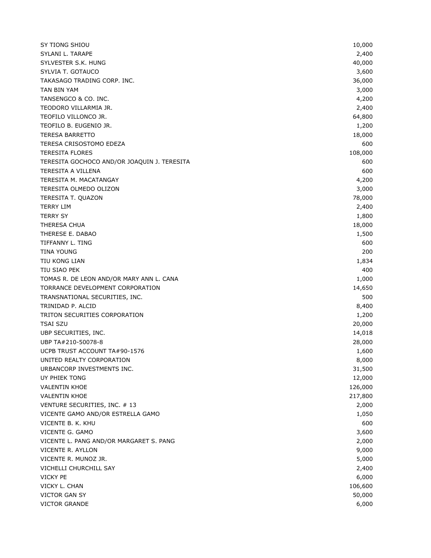| SY TIONG SHIOU                              | 10,000  |
|---------------------------------------------|---------|
| SYLANI L. TARAPE                            | 2,400   |
| SYLVESTER S.K. HUNG                         | 40,000  |
| SYLVIA T. GOTAUCO                           | 3,600   |
| TAKASAGO TRADING CORP. INC.                 | 36,000  |
| TAN BIN YAM                                 | 3,000   |
| TANSENGCO & CO. INC.                        | 4,200   |
| TEODORO VILLARMIA JR.                       | 2,400   |
| TEOFILO VILLONCO JR.                        | 64,800  |
| TEOFILO B. EUGENIO JR.                      | 1,200   |
| <b>TERESA BARRETTO</b>                      | 18,000  |
| TERESA CRISOSTOMO EDEZA                     | 600     |
| <b>TERESITA FLORES</b>                      | 108,000 |
| TERESITA GOCHOCO AND/OR JOAQUIN J. TERESITA | 600     |
| TERESITA A VILLENA                          | 600     |
| TERESITA M. MACATANGAY                      | 4,200   |
| TERESITA OLMEDO OLIZON                      | 3,000   |
| TERESITA T. QUAZON                          | 78,000  |
| <b>TERRY LIM</b>                            | 2,400   |
| <b>TERRY SY</b>                             | 1,800   |
| THERESA CHUA                                | 18,000  |
| THERESE E. DABAO                            | 1,500   |
| TIFFANNY L. TING                            | 600     |
| <b>TINA YOUNG</b>                           | 200     |
| TIU KONG LIAN                               | 1,834   |
| TIU SIAO PEK                                | 400     |
| TOMAS R. DE LEON AND/OR MARY ANN L. CANA    | 1,000   |
| TORRANCE DEVELOPMENT CORPORATION            | 14,650  |
| TRANSNATIONAL SECURITIES, INC.              | 500     |
| TRINIDAD P. ALCID                           | 8,400   |
| TRITON SECURITIES CORPORATION               | 1,200   |
| <b>TSAI SZU</b>                             | 20,000  |
| UBP SECURITIES, INC.                        | 14,018  |
| UBP TA#210-50078-8                          | 28,000  |
| UCPB TRUST ACCOUNT TA#90-1576               | 1,600   |
| UNITED REALTY CORPORATION                   | 8,000   |
| URBANCORP INVESTMENTS INC.                  | 31,500  |
| UY PHIEK TONG                               | 12,000  |
| <b>VALENTIN KHOE</b>                        | 126,000 |
| <b>VALENTIN KHOE</b>                        | 217,800 |
| VENTURE SECURITIES, INC. # 13               | 2,000   |
| VICENTE GAMO AND/OR ESTRELLA GAMO           | 1,050   |
| VICENTE B. K. KHU                           | 600     |
| VICENTE G. GAMO                             | 3,600   |
| VICENTE L. PANG AND/OR MARGARET S. PANG     | 2,000   |
| VICENTE R. AYLLON                           | 9,000   |
| VICENTE R. MUNOZ JR.                        | 5,000   |
| VICHELLI CHURCHILL SAY                      | 2,400   |
| VICKY PE                                    | 6,000   |
| VICKY L. CHAN                               | 106,600 |
| <b>VICTOR GAN SY</b>                        | 50,000  |
| <b>VICTOR GRANDE</b>                        | 6,000   |
|                                             |         |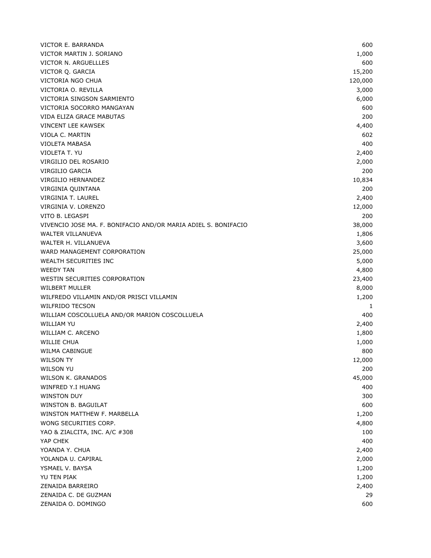| VICTOR E. BARRANDA                                             | 600     |
|----------------------------------------------------------------|---------|
| VICTOR MARTIN J. SORIANO                                       | 1,000   |
| VICTOR N. ARGUELLLES                                           | 600     |
| VICTOR Q. GARCIA                                               | 15,200  |
| VICTORIA NGO CHUA                                              | 120,000 |
| VICTORIA O. REVILLA                                            | 3,000   |
| VICTORIA SINGSON SARMIENTO                                     | 6,000   |
| VICTORIA SOCORRO MANGAYAN                                      | 600     |
| VIDA ELIZA GRACE MABUTAS                                       | 200     |
| VINCENT LEE KAWSEK                                             | 4,400   |
| VIOLA C. MARTIN                                                | 602     |
| VIOLETA MABASA                                                 | 400     |
| VIOLETA T. YU                                                  | 2,400   |
| VIRGILIO DEL ROSARIO                                           | 2,000   |
| VIRGILIO GARCIA                                                | 200     |
| VIRGILIO HERNANDEZ                                             | 10,834  |
| VIRGINIA QUINTANA                                              | 200     |
| VIRGINIA T. LAUREL                                             | 2,400   |
| VIRGINIA V. LORENZO                                            | 12,000  |
| VITO B. LEGASPI                                                | 200     |
| VIVENCIO JOSE MA. F. BONIFACIO AND/OR MARIA ADIEL S. BONIFACIO | 38,000  |
| <b>WALTER VILLANUEVA</b>                                       | 1,806   |
| WALTER H. VILLANUEVA                                           | 3,600   |
| WARD MANAGEMENT CORPORATION                                    | 25,000  |
| WEALTH SECURITIES INC                                          | 5,000   |
| <b>WEEDY TAN</b>                                               | 4,800   |
| WESTIN SECURITIES CORPORATION                                  | 23,400  |
| <b>WILBERT MULLER</b>                                          | 8,000   |
| WILFREDO VILLAMIN AND/OR PRISCI VILLAMIN                       | 1,200   |
| <b>WILFRIDO TECSON</b>                                         | 1       |
| WILLIAM COSCOLLUELA AND/OR MARION COSCOLLUELA                  | 400     |
| <b>WILLIAM YU</b>                                              | 2,400   |
| WILLIAM C. ARCENO                                              | 1,800   |
| <b>WILLIE CHUA</b>                                             | 1,000   |
| <b>WILMA CABINGUE</b>                                          | 800     |
| <b>WILSON TY</b>                                               | 12,000  |
| <b>WILSON YU</b>                                               | 200     |
| WILSON K. GRANADOS                                             | 45,000  |
| WINFRED Y.I HUANG                                              | 400     |
| WINSTON DUY                                                    | 300     |
| WINSTON B. BAGUILAT                                            | 600     |
| WINSTON MATTHEW F. MARBELLA                                    | 1,200   |
| WONG SECURITIES CORP.                                          | 4,800   |
| YAO & ZIALCITA, INC. A/C #308                                  | 100     |
| YAP CHEK                                                       | 400     |
| YOANDA Y. CHUA                                                 | 2,400   |
| YOLANDA U. CAPIRAL                                             | 2,000   |
| YSMAEL V. BAYSA                                                | 1,200   |
| YU TEN PIAK                                                    | 1,200   |
| ZENAIDA BARREIRO                                               | 2,400   |
| ZENAIDA C. DE GUZMAN                                           | 29      |
| ZENAIDA O. DOMINGO                                             | 600     |